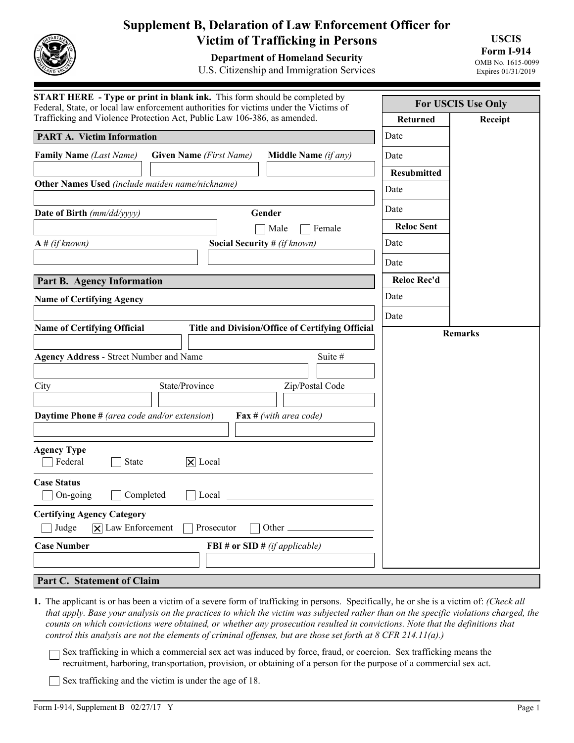

## **Supplement B, Delaration of Law Enforcement Officer for Victim of Trafficking in Persons**

**Department of Homeland Security** 

U.S. Citizenship and Immigration Services

**USCIS Form I-914**  OMB No. 1615-0099

Expires 01/31/2019

| <b>START HERE</b> - Type or print in blank ink. This form should be completed by<br>Federal, State, or local law enforcement authorities for victims under the Victims of | <b>For USCIS Use Only</b> |         |
|---------------------------------------------------------------------------------------------------------------------------------------------------------------------------|---------------------------|---------|
| Trafficking and Violence Protection Act, Public Law 106-386, as amended.                                                                                                  | <b>Returned</b>           | Receipt |
| <b>PART A. Victim Information</b>                                                                                                                                         | Date                      |         |
| <b>Family Name</b> (Last Name)<br><b>Given Name</b> (First Name)<br>Middle Name (if any)                                                                                  | Date                      |         |
|                                                                                                                                                                           | <b>Resubmitted</b>        |         |
| Other Names Used (include maiden name/nickname)                                                                                                                           | Date                      |         |
| Date of Birth (mm/dd/yyyy)<br>Gender                                                                                                                                      | Date                      |         |
| Male<br>Female                                                                                                                                                            | <b>Reloc Sent</b>         |         |
| <b>Social Security #</b> (if known)<br>$A \# (if known)$                                                                                                                  | Date                      |         |
|                                                                                                                                                                           | Date                      |         |
| <b>Part B. Agency Information</b>                                                                                                                                         | <b>Reloc Rec'd</b>        |         |
| <b>Name of Certifying Agency</b>                                                                                                                                          | Date                      |         |
|                                                                                                                                                                           | Date                      |         |
| <b>Name of Certifying Official</b><br><b>Title and Division/Office of Certifying Official</b>                                                                             | <b>Remarks</b>            |         |
| <b>Agency Address - Street Number and Name</b><br>Suite #<br>State/Province<br>Zip/Postal Code<br>City                                                                    |                           |         |
| <b>Daytime Phone</b> # (area code and/or extension)<br><b>Fax</b> # (with area code)                                                                                      |                           |         |
| <b>Agency Type</b><br>Federal<br><b>State</b><br>$ \mathsf{X} $ Local                                                                                                     |                           |         |
| <b>Case Status</b><br>Completed<br>On-going<br>Local                                                                                                                      |                           |         |
| <b>Certifying Agency Category</b><br>$ \mathbf{\overline{X}} $ Law Enforcement<br>Judge<br>Prosecutor<br>Other _                                                          |                           |         |
| <b>Case Number</b><br>FBI # or SID # $(if\,applied$                                                                                                                       |                           |         |
|                                                                                                                                                                           |                           |         |
| Part C. Statement of Claim                                                                                                                                                |                           |         |

**1.** The applicant is or has been a victim of a severe form of trafficking in persons. Specifically, he or she is a victim of: *(Check all that apply. Base your analysis on the practices to which the victim was subjected rather than on the specific violations charged, the counts on which convictions were obtained, or whether any prosecution resulted in convictions. Note that the definitions that control this analysis are not the elements of criminal offenses, but are those set forth at 8 CFR 214.11(a).)*

Sex trafficking in which a commercial sex act was induced by force, fraud, or coercion. Sex trafficking means the recruitment, harboring, transportation, provision, or obtaining of a person for the purpose of a commercial sex act.

 $\Box$  Sex trafficking and the victim is under the age of 18.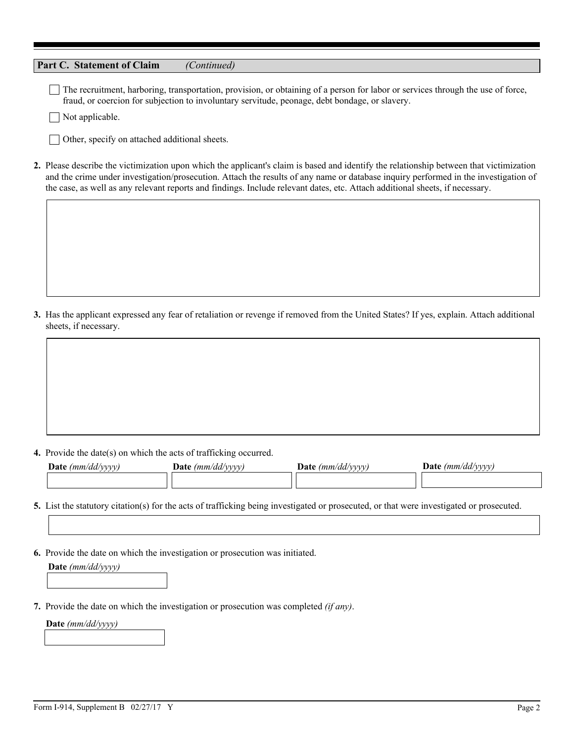| Part C. Statement of Claim                                                                                                               | (Continued)       |                                                                                                |                                                                                                                                                                                                                                                                                |
|------------------------------------------------------------------------------------------------------------------------------------------|-------------------|------------------------------------------------------------------------------------------------|--------------------------------------------------------------------------------------------------------------------------------------------------------------------------------------------------------------------------------------------------------------------------------|
| Not applicable.                                                                                                                          |                   | fraud, or coercion for subjection to involuntary servitude, peonage, debt bondage, or slavery. | The recruitment, harboring, transportation, provision, or obtaining of a person for labor or services through the use of force,                                                                                                                                                |
| Other, specify on attached additional sheets.                                                                                            |                   |                                                                                                |                                                                                                                                                                                                                                                                                |
| the case, as well as any relevant reports and findings. Include relevant dates, etc. Attach additional sheets, if necessary.             |                   |                                                                                                | 2. Please describe the victimization upon which the applicant's claim is based and identify the relationship between that victimization<br>and the crime under investigation/prosecution. Attach the results of any name or database inquiry performed in the investigation of |
|                                                                                                                                          |                   |                                                                                                |                                                                                                                                                                                                                                                                                |
|                                                                                                                                          |                   |                                                                                                |                                                                                                                                                                                                                                                                                |
|                                                                                                                                          |                   |                                                                                                |                                                                                                                                                                                                                                                                                |
|                                                                                                                                          |                   |                                                                                                |                                                                                                                                                                                                                                                                                |
| sheets, if necessary.                                                                                                                    |                   |                                                                                                | 3. Has the applicant expressed any fear of retaliation or revenge if removed from the United States? If yes, explain. Attach additional                                                                                                                                        |
|                                                                                                                                          |                   |                                                                                                |                                                                                                                                                                                                                                                                                |
|                                                                                                                                          |                   |                                                                                                |                                                                                                                                                                                                                                                                                |
|                                                                                                                                          |                   |                                                                                                |                                                                                                                                                                                                                                                                                |
|                                                                                                                                          |                   |                                                                                                |                                                                                                                                                                                                                                                                                |
| 4. Provide the date(s) on which the acts of trafficking occurred.                                                                        |                   |                                                                                                |                                                                                                                                                                                                                                                                                |
| Date (mm/dd/yyyy)                                                                                                                        | Date (mm/dd/yyyy) | Date $(mm/dd/yyyy)$                                                                            | Date $(mm/dd/yyyy)$                                                                                                                                                                                                                                                            |
|                                                                                                                                          |                   |                                                                                                |                                                                                                                                                                                                                                                                                |
| 5. List the statutory citation(s) for the acts of trafficking being investigated or prosecuted, or that were investigated or prosecuted. |                   |                                                                                                |                                                                                                                                                                                                                                                                                |
|                                                                                                                                          |                   |                                                                                                |                                                                                                                                                                                                                                                                                |

**6.** Provide the date on which the investigation or prosecution was initiated. **Date** *(mm/dd/yyyy)*

**7.** Provide the date on which the investigation or prosecution was completed *(if any)*.

**Date** *(mm/dd/yyyy)*